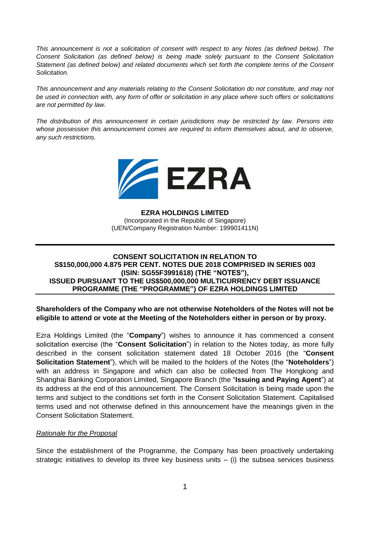*This announcement is not a solicitation of consent with respect to any Notes (as defined below). The Consent Solicitation (as defined below) is being made solely pursuant to the Consent Solicitation Statement (as defined below) and related documents which set forth the complete terms of the Consent Solicitation.*

*This announcement and any materials relating to the Consent Solicitation do not constitute, and may not be used in connection with, any form of offer or solicitation in any place where such offers or solicitations are not permitted by law.* 

*The distribution of this announcement in certain jurisdictions may be restricted by law. Persons into*  whose possession this announcement comes are required to inform themselves about, and to observe, *any such restrictions.*



## **EZRA HOLDINGS LIMITED**

(Incorporated in the Republic of Singapore) (UEN/Company Registration Number: 199901411N)

# **CONSENT SOLICITATION IN RELATION TO S\$150,000,000 4.875 PER CENT. NOTES DUE 2018 COMPRISED IN SERIES 003 (ISIN: SG55F3991618) (THE "NOTES"), ISSUED PURSUANT TO THE US\$500,000,000 MULTICURRENCY DEBT ISSUANCE PROGRAMME (THE "PROGRAMME") OF EZRA HOLDINGS LIMITED**

**Shareholders of the Company who are not otherwise Noteholders of the Notes will not be eligible to attend or vote at the Meeting of the Noteholders either in person or by proxy.**

Ezra Holdings Limited (the "**Company**") wishes to announce it has commenced a consent solicitation exercise (the "**Consent Solicitation**") in relation to the Notes today, as more fully described in the consent solicitation statement dated 18 October 2016 (the "**Consent Solicitation Statement**"), which will be mailed to the holders of the Notes (the "**Noteholders**") with an address in Singapore and which can also be collected from The Hongkong and Shanghai Banking Corporation Limited, Singapore Branch (the "**Issuing and Paying Agent**") at its address at the end of this announcement. The Consent Solicitation is being made upon the terms and subject to the conditions set forth in the Consent Solicitation Statement. Capitalised terms used and not otherwise defined in this announcement have the meanings given in the Consent Solicitation Statement.

## *Rationale for the Proposal*

Since the establishment of the Programme, the Company has been proactively undertaking strategic initiatives to develop its three key business units  $-$  (i) the subsea services business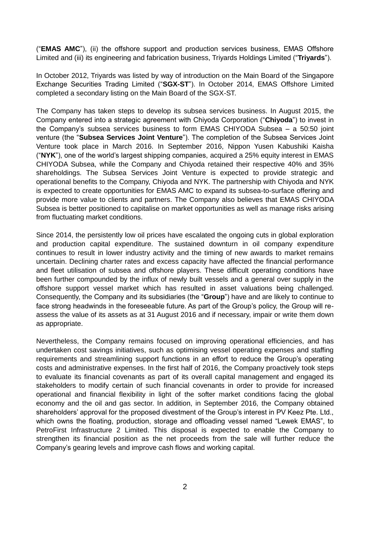("**EMAS AMC**"), (ii) the offshore support and production services business, EMAS Offshore Limited and (iii) its engineering and fabrication business, Triyards Holdings Limited ("**Triyards**").

In October 2012, Triyards was listed by way of introduction on the Main Board of the Singapore Exchange Securities Trading Limited ("**SGX-ST**"). In October 2014, EMAS Offshore Limited completed a secondary listing on the Main Board of the SGX-ST.

The Company has taken steps to develop its subsea services business. In August 2015, the Company entered into a strategic agreement with Chiyoda Corporation ("**Chiyoda**") to invest in the Company's subsea services business to form EMAS CHIYODA Subsea – a 50:50 joint venture (the "**Subsea Services Joint Venture**"). The completion of the Subsea Services Joint Venture took place in March 2016. In September 2016, Nippon Yusen Kabushiki Kaisha ("**NYK**"), one of the world's largest shipping companies, acquired a 25% equity interest in EMAS CHIYODA Subsea, while the Company and Chiyoda retained their respective 40% and 35% shareholdings. The Subsea Services Joint Venture is expected to provide strategic and operational benefits to the Company, Chiyoda and NYK. The partnership with Chiyoda and NYK is expected to create opportunities for EMAS AMC to expand its subsea-to-surface offering and provide more value to clients and partners. The Company also believes that EMAS CHIYODA Subsea is better positioned to capitalise on market opportunities as well as manage risks arising from fluctuating market conditions.

Since 2014, the persistently low oil prices have escalated the ongoing cuts in global exploration and production capital expenditure. The sustained downturn in oil company expenditure continues to result in lower industry activity and the timing of new awards to market remains uncertain. Declining charter rates and excess capacity have affected the financial performance and fleet utilisation of subsea and offshore players. These difficult operating conditions have been further compounded by the influx of newly built vessels and a general over supply in the offshore support vessel market which has resulted in asset valuations being challenged. Consequently, the Company and its subsidiaries (the "**Group**") have and are likely to continue to face strong headwinds in the foreseeable future. As part of the Group's policy, the Group will reassess the value of its assets as at 31 August 2016 and if necessary, impair or write them down as appropriate.

Nevertheless, the Company remains focused on improving operational efficiencies, and has undertaken cost savings initiatives, such as optimising vessel operating expenses and staffing requirements and streamlining support functions in an effort to reduce the Group's operating costs and administrative expenses. In the first half of 2016, the Company proactively took steps to evaluate its financial covenants as part of its overall capital management and engaged its stakeholders to modify certain of such financial covenants in order to provide for increased operational and financial flexibility in light of the softer market conditions facing the global economy and the oil and gas sector. In addition, in September 2016, the Company obtained shareholders' approval for the proposed divestment of the Group's interest in PV Keez Pte. Ltd., which owns the floating, production, storage and offloading vessel named "Lewek EMAS", to PetroFirst Infrastructure 2 Limited. This disposal is expected to enable the Company to strengthen its financial position as the net proceeds from the sale will further reduce the Company's gearing levels and improve cash flows and working capital.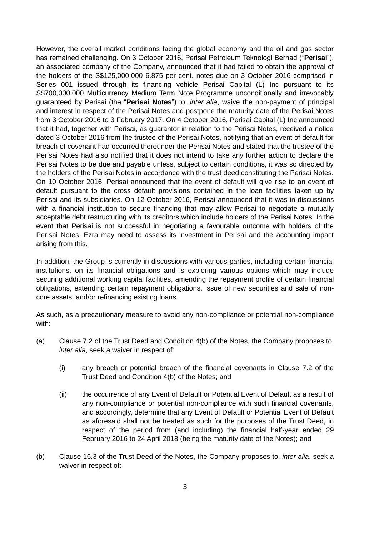However, the overall market conditions facing the global economy and the oil and gas sector has remained challenging. On 3 October 2016, Perisai Petroleum Teknologi Berhad ("**Perisai**"), an associated company of the Company, announced that it had failed to obtain the approval of the holders of the S\$125,000,000 6.875 per cent. notes due on 3 October 2016 comprised in Series 001 issued through its financing vehicle Perisai Capital (L) Inc pursuant to its S\$700,000,000 Multicurrency Medium Term Note Programme unconditionally and irrevocably guaranteed by Perisai (the "**Perisai Notes**") to, *inter alia*, waive the non-payment of principal and interest in respect of the Perisai Notes and postpone the maturity date of the Perisai Notes from 3 October 2016 to 3 February 2017. On 4 October 2016, Perisai Capital (L) Inc announced that it had, together with Perisai, as guarantor in relation to the Perisai Notes, received a notice dated 3 October 2016 from the trustee of the Perisai Notes, notifying that an event of default for breach of covenant had occurred thereunder the Perisai Notes and stated that the trustee of the Perisai Notes had also notified that it does not intend to take any further action to declare the Perisai Notes to be due and payable unless, subject to certain conditions, it was so directed by the holders of the Perisai Notes in accordance with the trust deed constituting the Perisai Notes. On 10 October 2016, Perisai announced that the event of default will give rise to an event of default pursuant to the cross default provisions contained in the loan facilities taken up by Perisai and its subsidiaries. On 12 October 2016, Perisai announced that it was in discussions with a financial institution to secure financing that may allow Perisai to negotiate a mutually acceptable debt restructuring with its creditors which include holders of the Perisai Notes. In the event that Perisai is not successful in negotiating a favourable outcome with holders of the Perisai Notes, Ezra may need to assess its investment in Perisai and the accounting impact arising from this.

In addition, the Group is currently in discussions with various parties, including certain financial institutions, on its financial obligations and is exploring various options which may include securing additional working capital facilities, amending the repayment profile of certain financial obligations, extending certain repayment obligations, issue of new securities and sale of noncore assets, and/or refinancing existing loans.

As such, as a precautionary measure to avoid any non-compliance or potential non-compliance with:

- (a) Clause 7.2 of the Trust Deed and Condition 4(b) of the Notes, the Company proposes to, *inter alia*, seek a waiver in respect of:
	- (i) any breach or potential breach of the financial covenants in Clause 7.2 of the Trust Deed and Condition 4(b) of the Notes; and
	- (ii) the occurrence of any Event of Default or Potential Event of Default as a result of any non-compliance or potential non-compliance with such financial covenants, and accordingly, determine that any Event of Default or Potential Event of Default as aforesaid shall not be treated as such for the purposes of the Trust Deed, in respect of the period from (and including) the financial half-year ended 29 February 2016 to 24 April 2018 (being the maturity date of the Notes); and
- (b) Clause 16.3 of the Trust Deed of the Notes, the Company proposes to, *inter alia*, seek a waiver in respect of: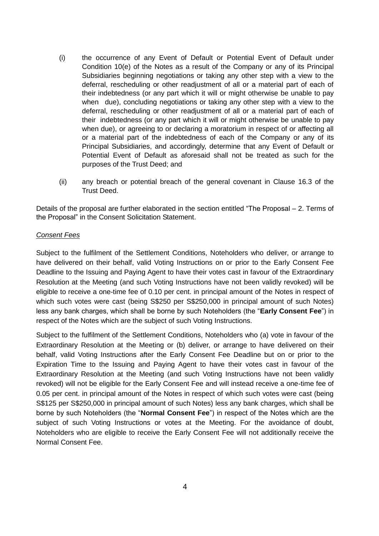- (i) the occurrence of any Event of Default or Potential Event of Default under Condition 10(e) of the Notes as a result of the Company or any of its Principal Subsidiaries beginning negotiations or taking any other step with a view to the deferral, rescheduling or other readjustment of all or a material part of each of their indebtedness (or any part which it will or might otherwise be unable to pay when due), concluding negotiations or taking any other step with a view to the deferral, rescheduling or other readjustment of all or a material part of each of their indebtedness (or any part which it will or might otherwise be unable to pay when due), or agreeing to or declaring a moratorium in respect of or affecting all or a material part of the indebtedness of each of the Company or any of its Principal Subsidiaries, and accordingly, determine that any Event of Default or Potential Event of Default as aforesaid shall not be treated as such for the purposes of the Trust Deed; and
- (ii) any breach or potential breach of the general covenant in Clause 16.3 of the Trust Deed.

Details of the proposal are further elaborated in the section entitled "The Proposal – 2. Terms of the Proposal" in the Consent Solicitation Statement.

## *Consent Fees*

Subject to the fulfilment of the Settlement Conditions, Noteholders who deliver, or arrange to have delivered on their behalf, valid Voting Instructions on or prior to the Early Consent Fee Deadline to the Issuing and Paying Agent to have their votes cast in favour of the Extraordinary Resolution at the Meeting (and such Voting Instructions have not been validly revoked) will be eligible to receive a one-time fee of 0.10 per cent. in principal amount of the Notes in respect of which such votes were cast (being S\$250 per S\$250,000 in principal amount of such Notes) less any bank charges, which shall be borne by such Noteholders (the "**Early Consent Fee**") in respect of the Notes which are the subject of such Voting Instructions.

Subject to the fulfilment of the Settlement Conditions, Noteholders who (a) vote in favour of the Extraordinary Resolution at the Meeting or (b) deliver, or arrange to have delivered on their behalf, valid Voting Instructions after the Early Consent Fee Deadline but on or prior to the Expiration Time to the Issuing and Paying Agent to have their votes cast in favour of the Extraordinary Resolution at the Meeting (and such Voting Instructions have not been validly revoked) will not be eligible for the Early Consent Fee and will instead receive a one-time fee of 0.05 per cent. in principal amount of the Notes in respect of which such votes were cast (being S\$125 per S\$250,000 in principal amount of such Notes) less any bank charges, which shall be borne by such Noteholders (the "**Normal Consent Fee**") in respect of the Notes which are the subject of such Voting Instructions or votes at the Meeting. For the avoidance of doubt, Noteholders who are eligible to receive the Early Consent Fee will not additionally receive the Normal Consent Fee.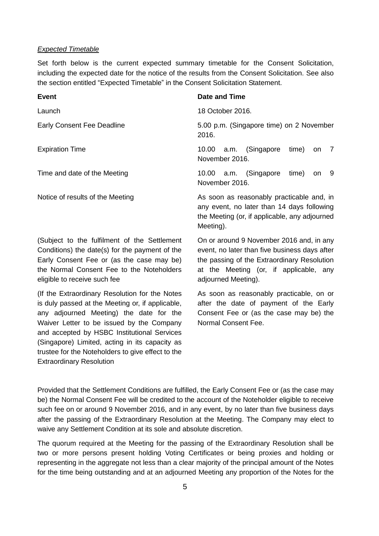#### *Expected Timetable*

Set forth below is the current expected summary timetable for the Consent Solicitation, including the expected date for the notice of the results from the Consent Solicitation. See also the section entitled "Expected Timetable" in the Consent Solicitation Statement.

| <b>Event</b>                                                                                                                                                                                                             | Date and Time                                                                                                                                                                                             |
|--------------------------------------------------------------------------------------------------------------------------------------------------------------------------------------------------------------------------|-----------------------------------------------------------------------------------------------------------------------------------------------------------------------------------------------------------|
| Launch                                                                                                                                                                                                                   | 18 October 2016.                                                                                                                                                                                          |
| <b>Early Consent Fee Deadline</b>                                                                                                                                                                                        | 5.00 p.m. (Singapore time) on 2 November<br>2016.                                                                                                                                                         |
| <b>Expiration Time</b>                                                                                                                                                                                                   | 10.00 a.m. (Singapore<br>time)<br>$\overline{7}$<br><b>on</b><br>November 2016.                                                                                                                           |
| Time and date of the Meeting                                                                                                                                                                                             | a.m. (Singapore<br>time)<br>- 9<br>10.00<br><b>on</b><br>November 2016.                                                                                                                                   |
| Notice of results of the Meeting                                                                                                                                                                                         | As soon as reasonably practicable and, in<br>any event, no later than 14 days following<br>the Meeting (or, if applicable, any adjourned<br>Meeting).                                                     |
| (Subject to the fulfilment of the Settlement<br>Conditions) the date(s) for the payment of the<br>Early Consent Fee or (as the case may be)<br>the Normal Consent Fee to the Noteholders<br>eligible to receive such fee | On or around 9 November 2016 and, in any<br>event, no later than five business days after<br>the passing of the Extraordinary Resolution<br>at the Meeting (or, if applicable, any<br>adjourned Meeting). |
| (If the Extraordinary Resolution for the Notes)                                                                                                                                                                          | As soon as reasonably practicable on or                                                                                                                                                                   |

(If the Extraordinary Resolution for the Notes is duly passed at the Meeting or, if applicable, any adjourned Meeting) the date for the Waiver Letter to be issued by the Company and accepted by HSBC Institutional Services (Singapore) Limited, acting in its capacity as trustee for the Noteholders to give effect to the Extraordinary Resolution

As soon as reasonably practicable, on or after the date of payment of the Early Consent Fee or (as the case may be) the Normal Consent Fee.

Provided that the Settlement Conditions are fulfilled, the Early Consent Fee or (as the case may be) the Normal Consent Fee will be credited to the account of the Noteholder eligible to receive such fee on or around 9 November 2016, and in any event, by no later than five business days after the passing of the Extraordinary Resolution at the Meeting. The Company may elect to waive any Settlement Condition at its sole and absolute discretion.

The quorum required at the Meeting for the passing of the Extraordinary Resolution shall be two or more persons present holding Voting Certificates or being proxies and holding or representing in the aggregate not less than a clear majority of the principal amount of the Notes for the time being outstanding and at an adjourned Meeting any proportion of the Notes for the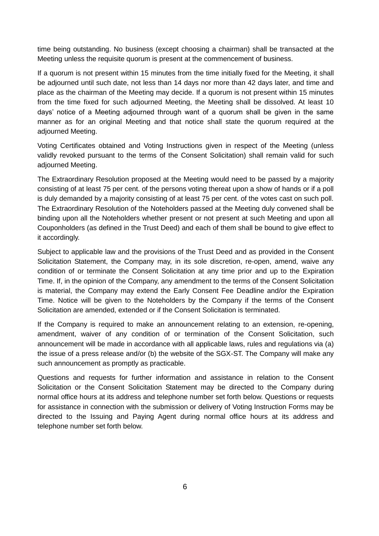time being outstanding. No business (except choosing a chairman) shall be transacted at the Meeting unless the requisite quorum is present at the commencement of business.

If a quorum is not present within 15 minutes from the time initially fixed for the Meeting, it shall be adjourned until such date, not less than 14 days nor more than 42 days later, and time and place as the chairman of the Meeting may decide. If a quorum is not present within 15 minutes from the time fixed for such adjourned Meeting, the Meeting shall be dissolved. At least 10 days' notice of a Meeting adjourned through want of a quorum shall be given in the same manner as for an original Meeting and that notice shall state the quorum required at the adjourned Meeting.

Voting Certificates obtained and Voting Instructions given in respect of the Meeting (unless validly revoked pursuant to the terms of the Consent Solicitation) shall remain valid for such adjourned Meeting.

The Extraordinary Resolution proposed at the Meeting would need to be passed by a majority consisting of at least 75 per cent. of the persons voting thereat upon a show of hands or if a poll is duly demanded by a majority consisting of at least 75 per cent. of the votes cast on such poll. The Extraordinary Resolution of the Noteholders passed at the Meeting duly convened shall be binding upon all the Noteholders whether present or not present at such Meeting and upon all Couponholders (as defined in the Trust Deed) and each of them shall be bound to give effect to it accordingly.

Subject to applicable law and the provisions of the Trust Deed and as provided in the Consent Solicitation Statement, the Company may, in its sole discretion, re-open, amend, waive any condition of or terminate the Consent Solicitation at any time prior and up to the Expiration Time. If, in the opinion of the Company, any amendment to the terms of the Consent Solicitation is material, the Company may extend the Early Consent Fee Deadline and/or the Expiration Time. Notice will be given to the Noteholders by the Company if the terms of the Consent Solicitation are amended, extended or if the Consent Solicitation is terminated.

If the Company is required to make an announcement relating to an extension, re-opening, amendment, waiver of any condition of or termination of the Consent Solicitation, such announcement will be made in accordance with all applicable laws, rules and regulations via (a) the issue of a press release and/or (b) the website of the SGX-ST. The Company will make any such announcement as promptly as practicable.

Questions and requests for further information and assistance in relation to the Consent Solicitation or the Consent Solicitation Statement may be directed to the Company during normal office hours at its address and telephone number set forth below. Questions or requests for assistance in connection with the submission or delivery of Voting Instruction Forms may be directed to the Issuing and Paying Agent during normal office hours at its address and telephone number set forth below.